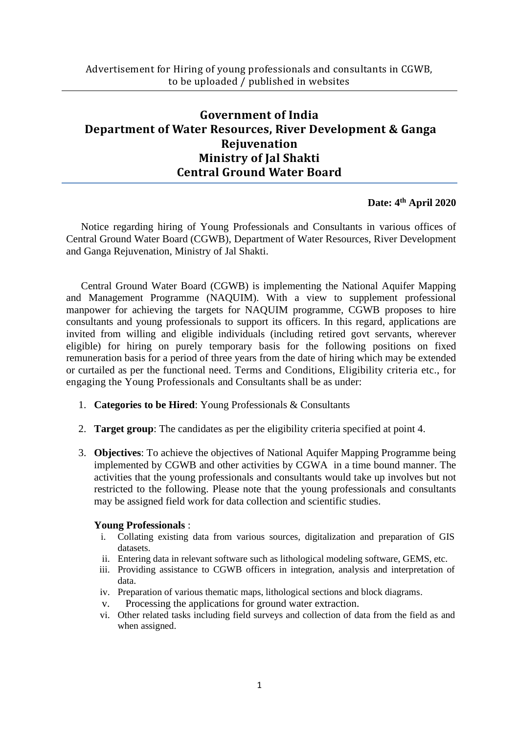# **Government of India Department of Water Resources, River Development & Ganga Rejuvenation Ministry of Jal Shakti Central Ground Water Board**

## **Date: 4 th April 2020**

Notice regarding hiring of Young Professionals and Consultants in various offices of Central Ground Water Board (CGWB), Department of Water Resources, River Development and Ganga Rejuvenation, Ministry of Jal Shakti.

Central Ground Water Board (CGWB) is implementing the National Aquifer Mapping and Management Programme (NAQUIM). With a view to supplement professional manpower for achieving the targets for NAQUIM programme, CGWB proposes to hire consultants and young professionals to support its officers. In this regard, applications are invited from willing and eligible individuals (including retired govt servants, wherever eligible) for hiring on purely temporary basis for the following positions on fixed remuneration basis for a period of three years from the date of hiring which may be extended or curtailed as per the functional need. Terms and Conditions, Eligibility criteria etc., for engaging the Young Professionals and Consultants shall be as under:

- 1. **Categories to be Hired**: Young Professionals & Consultants
- 2. **Target group**: The candidates as per the eligibility criteria specified at point 4.
- 3. **Objectives**: To achieve the objectives of National Aquifer Mapping Programme being implemented by CGWB and other activities by CGWA in a time bound manner. The activities that the young professionals and consultants would take up involves but not restricted to the following. Please note that the young professionals and consultants may be assigned field work for data collection and scientific studies.

### **Young Professionals** :

- i. Collating existing data from various sources, digitalization and preparation of GIS datasets.
- ii. Entering data in relevant software such as lithological modeling software, GEMS, etc.
- iii. Providing assistance to CGWB officers in integration, analysis and interpretation of data.
- iv. Preparation of various thematic maps, lithological sections and block diagrams.
- v. Processing the applications for ground water extraction.
- vi. Other related tasks including field surveys and collection of data from the field as and when assigned.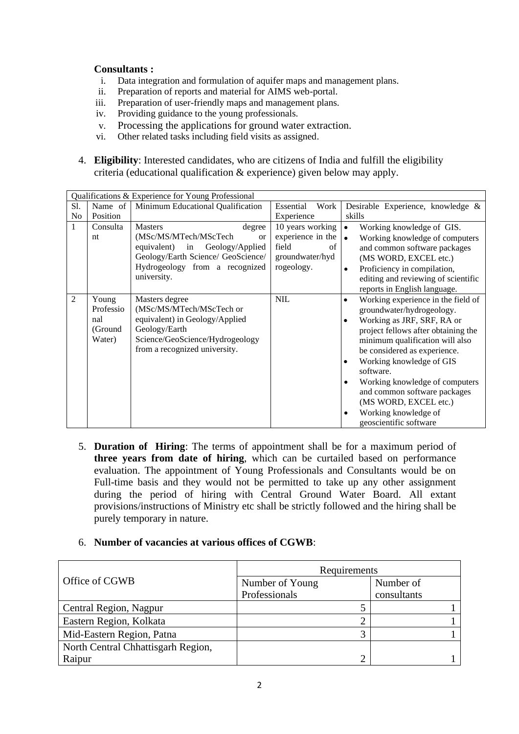### **Consultants :**

- i. Data integration and formulation of aquifer maps and management plans.
- ii. Preparation of reports and material for AIMS web-portal.
- iii. Preparation of user-friendly maps and management plans.
- iv. Providing guidance to the young professionals.
- v. Processing the applications for ground water extraction.
- vi. Other related tasks including field visits as assigned.
- 4. **Eligibility**: Interested candidates, who are citizens of India and fulfill the eligibility criteria (educational qualification & experience) given below may apply.

|                | Qualifications & Experience for Young Professional |                                                                                                                                                                                            |                                                                                       |                                                                                                                                                                                                                                                                                                                                                                                                                           |  |  |  |  |
|----------------|----------------------------------------------------|--------------------------------------------------------------------------------------------------------------------------------------------------------------------------------------------|---------------------------------------------------------------------------------------|---------------------------------------------------------------------------------------------------------------------------------------------------------------------------------------------------------------------------------------------------------------------------------------------------------------------------------------------------------------------------------------------------------------------------|--|--|--|--|
| S1.            | Name of                                            | Minimum Educational Qualification                                                                                                                                                          | Work<br>Essential                                                                     | Desirable Experience, knowledge &                                                                                                                                                                                                                                                                                                                                                                                         |  |  |  |  |
| No             | Position                                           |                                                                                                                                                                                            | Experience                                                                            | skills                                                                                                                                                                                                                                                                                                                                                                                                                    |  |  |  |  |
| 1              | Consulta<br>nt                                     | <b>Masters</b><br>degree<br>(MSc/MS/MTech/MScTech<br><b>or</b><br>equivalent) in<br>Geology/Applied<br>Geology/Earth Science/ GeoScience/<br>Hydrogeology from a recognized<br>university. | 10 years working<br>experience in the<br>field<br>of<br>groundwater/hyd<br>rogeology. | $\bullet$<br>Working knowledge of GIS.<br>Working knowledge of computers<br>$\bullet$<br>and common software packages<br>(MS WORD, EXCEL etc.)<br>Proficiency in compilation,<br>$\bullet$<br>editing and reviewing of scientific<br>reports in English language.                                                                                                                                                         |  |  |  |  |
| $\overline{2}$ | Young<br>Professio<br>nal<br>(Ground<br>Water)     | Masters degree<br>(MSc/MS/MTech/MScTech or<br>equivalent) in Geology/Applied<br>Geology/Earth<br>Science/GeoScience/Hydrogeology<br>from a recognized university.                          | <b>NIL</b>                                                                            | Working experience in the field of<br>٠<br>groundwater/hydrogeology.<br>Working as JRF, SRF, RA or<br>project fellows after obtaining the<br>minimum qualification will also<br>be considered as experience.<br>Working knowledge of GIS<br>٠<br>software.<br>Working knowledge of computers<br>٠<br>and common software packages<br>(MS WORD, EXCEL etc.)<br>Working knowledge of<br>$\bullet$<br>geoscientific software |  |  |  |  |

5. **Duration of Hiring**: The terms of appointment shall be for a maximum period of **three years from date of hiring**, which can be curtailed based on performance evaluation. The appointment of Young Professionals and Consultants would be on Full-time basis and they would not be permitted to take up any other assignment during the period of hiring with Central Ground Water Board. All extant provisions/instructions of Ministry etc shall be strictly followed and the hiring shall be purely temporary in nature.

### 6. **Number of vacancies at various offices of CGWB**:

|                                    | Requirements    |             |  |  |
|------------------------------------|-----------------|-------------|--|--|
| Office of CGWB                     | Number of Young | Number of   |  |  |
|                                    | Professionals   | consultants |  |  |
| Central Region, Nagpur             |                 |             |  |  |
| Eastern Region, Kolkata            |                 |             |  |  |
| Mid-Eastern Region, Patna          |                 |             |  |  |
| North Central Chhattisgarh Region, |                 |             |  |  |
| Raipur                             |                 |             |  |  |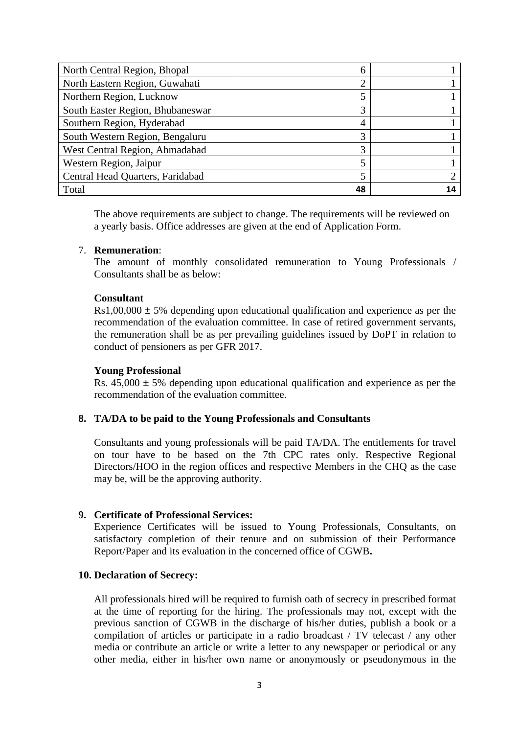| North Central Region, Bhopal     | h  |  |
|----------------------------------|----|--|
| North Eastern Region, Guwahati   |    |  |
| Northern Region, Lucknow         |    |  |
| South Easter Region, Bhubaneswar |    |  |
| Southern Region, Hyderabad       | 4  |  |
| South Western Region, Bengaluru  | 3  |  |
| West Central Region, Ahmadabad   | 3  |  |
| Western Region, Jaipur           |    |  |
| Central Head Quarters, Faridabad |    |  |
| Total                            | 48 |  |

The above requirements are subject to change. The requirements will be reviewed on a yearly basis. Office addresses are given at the end of Application Form.

### 7. **Remuneration**:

The amount of monthly consolidated remuneration to Young Professionals / Consultants shall be as below:

#### **Consultant**

 $Rs1,00,000 \pm 5\%$  depending upon educational qualification and experience as per the recommendation of the evaluation committee. In case of retired government servants, the remuneration shall be as per prevailing guidelines issued by DoPT in relation to conduct of pensioners as per GFR 2017.

#### **Young Professional**

Rs.  $45,000 \pm 5\%$  depending upon educational qualification and experience as per the recommendation of the evaluation committee.

### **8. TA/DA to be paid to the Young Professionals and Consultants**

Consultants and young professionals will be paid TA/DA. The entitlements for travel on tour have to be based on the 7th CPC rates only. Respective Regional Directors/HOO in the region offices and respective Members in the CHQ as the case may be, will be the approving authority.

### **9. Certificate of Professional Services:**

Experience Certificates will be issued to Young Professionals, Consultants, on satisfactory completion of their tenure and on submission of their Performance Report/Paper and its evaluation in the concerned office of CGWB**.**

#### **10. Declaration of Secrecy:**

All professionals hired will be required to furnish oath of secrecy in prescribed format at the time of reporting for the hiring. The professionals may not, except with the previous sanction of CGWB in the discharge of his/her duties, publish a book or a compilation of articles or participate in a radio broadcast / TV telecast / any other media or contribute an article or write a letter to any newspaper or periodical or any other media, either in his/her own name or anonymously or pseudonymous in the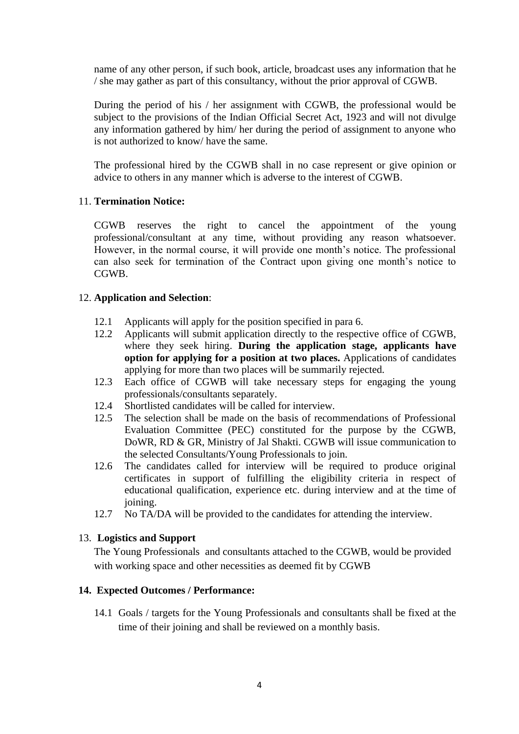name of any other person, if such book, article, broadcast uses any information that he / she may gather as part of this consultancy, without the prior approval of CGWB.

During the period of his / her assignment with CGWB, the professional would be subject to the provisions of the Indian Official Secret Act, 1923 and will not divulge any information gathered by him/ her during the period of assignment to anyone who is not authorized to know/ have the same.

The professional hired by the CGWB shall in no case represent or give opinion or advice to others in any manner which is adverse to the interest of CGWB.

### 11. **Termination Notice:**

CGWB reserves the right to cancel the appointment of the young professional/consultant at any time, without providing any reason whatsoever. However, in the normal course, it will provide one month's notice. The professional can also seek for termination of the Contract upon giving one month's notice to CGWB.

### 12. **Application and Selection**:

- 12.1 Applicants will apply for the position specified in para 6.
- 12.2 Applicants will submit application directly to the respective office of CGWB, where they seek hiring. **During the application stage, applicants have option for applying for a position at two places.** Applications of candidates applying for more than two places will be summarily rejected.
- 12.3 Each office of CGWB will take necessary steps for engaging the young professionals/consultants separately.
- 12.4 Shortlisted candidates will be called for interview.
- 12.5 The selection shall be made on the basis of recommendations of Professional Evaluation Committee (PEC) constituted for the purpose by the CGWB, DoWR, RD & GR, Ministry of Jal Shakti. CGWB will issue communication to the selected Consultants/Young Professionals to join.
- 12.6 The candidates called for interview will be required to produce original certificates in support of fulfilling the eligibility criteria in respect of educational qualification, experience etc. during interview and at the time of joining.
- 12.7 No TA/DA will be provided to the candidates for attending the interview.

### 13. **Logistics and Support**

The Young Professionals and consultants attached to the CGWB, would be provided with working space and other necessities as deemed fit by CGWB

## **14. Expected Outcomes / Performance:**

14.1 Goals / targets for the Young Professionals and consultants shall be fixed at the time of their joining and shall be reviewed on a monthly basis.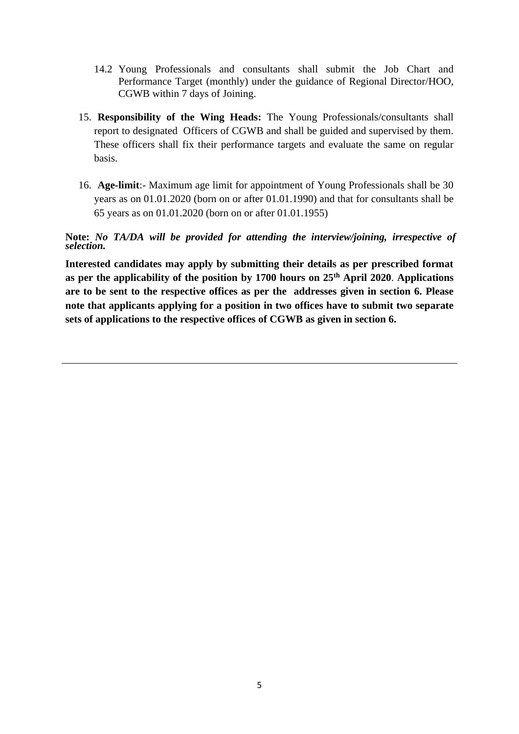- 14.2 Young Professionals and consultants shall submit the Job Chart and Performance Target (monthly) under the guidance of Regional Director/HOO, CGWB within 7 days of Joining.
- 15. **Responsibility of the Wing Heads:** The Young Professionals/consultants shall report to designated Officers of CGWB and shall be guided and supervised by them. These officers shall fix their performance targets and evaluate the same on regular basis.
- 16. **Age-limit**:- Maximum age limit for appointment of Young Professionals shall be 30 years as on 01.01.2020 (born on or after 01.01.1990) and that for consultants shall be 65 years as on 01.01.2020 (born on or after 01.01.1955)

**Note:** *No TA/DA will be provided for attending the interview/joining, irrespective of selection.*

**Interested candidates may apply by submitting their details as per prescribed format as per the applicability of the position by 1700 hours on 25th April 2020**. **Applications are to be sent to the respective offices as per the addresses given in section 6. Please note that applicants applying for a position in two offices have to submit two separate sets of applications to the respective offices of CGWB as given in section 6.**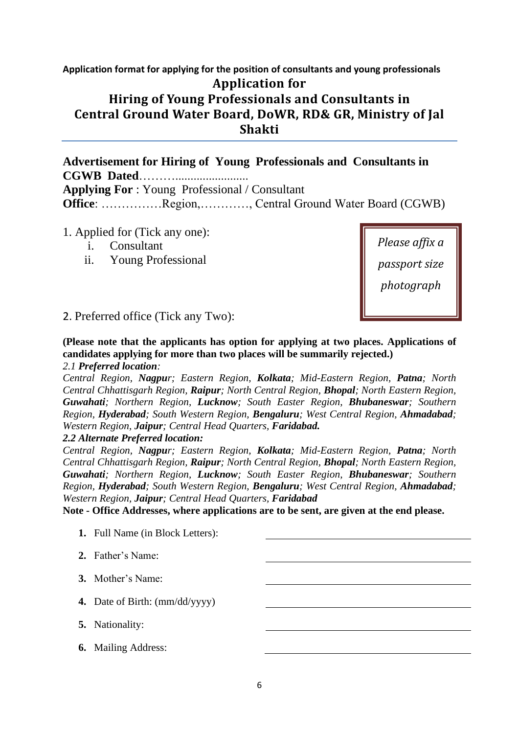# **Application format for applying for the position of consultants and young professionals Application for Hiring of Young Professionals and Consultants in Central Ground Water Board, DoWR, RD& GR, Ministry of Jal Shakti**

**Advertisement for Hiring of Young Professionals and Consultants in CGWB Dated**………........................ **Applying For** : Young Professional / Consultant **Office**: ……………Region,…………, Central Ground Water Board (CGWB)

- 1. Applied for (Tick any one):
	- i. Consultant
	- ii. Young Professional

*Please affix a passport size photograph*

2. Preferred office (Tick any Two):

**(Please note that the applicants has option for applying at two places. Applications of candidates applying for more than two places will be summarily rejected.)**

*2.1 Preferred location:* 

*Central Region, Nagpur; Eastern Region, Kolkata; Mid-Eastern Region, Patna; North Central Chhattisgarh Region, Raipur; North Central Region, Bhopal; North Eastern Region, Guwahati; Northern Region, Lucknow; South Easter Region, Bhubaneswar; Southern Region, Hyderabad; South Western Region, Bengaluru; West Central Region, Ahmadabad; Western Region, Jaipur; Central Head Quarters, Faridabad.*

*2.2 Alternate Preferred location:*

*Central Region, Nagpur; Eastern Region, Kolkata; Mid-Eastern Region, Patna; North Central Chhattisgarh Region, Raipur; North Central Region, Bhopal; North Eastern Region, Guwahati; Northern Region, Lucknow; South Easter Region, Bhubaneswar; Southern Region, Hyderabad; South Western Region, Bengaluru; West Central Region, Ahmadabad; Western Region, Jaipur; Central Head Quarters, Faridabad*

**Note - Office Addresses, where applications are to be sent, are given at the end please.** 

- **1.** Full Name (in Block Letters):
- **2.** Father's Name:
- **3.** Mother's Name:
- **4.** Date of Birth: (mm/dd/yyyy)
- **5.** Nationality:
- **6.** Mailing Address: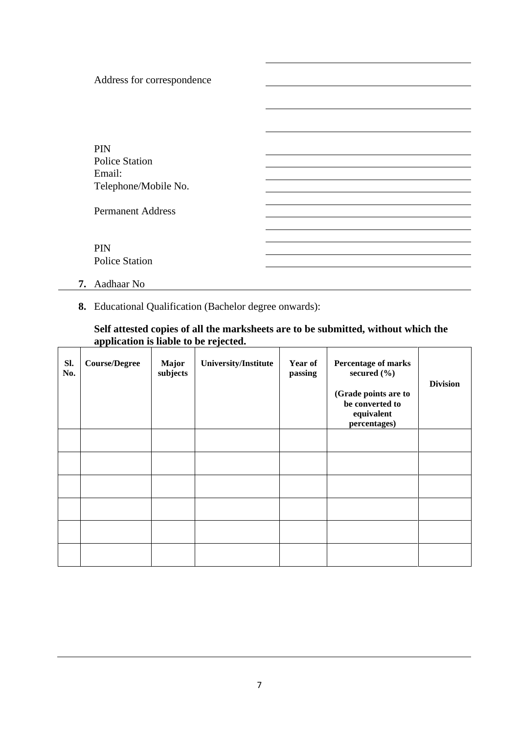| Address for correspondence |  |
|----------------------------|--|
|                            |  |
|                            |  |
|                            |  |
|                            |  |
| <b>PIN</b>                 |  |
| <b>Police Station</b>      |  |
| Email:                     |  |
| Telephone/Mobile No.       |  |
|                            |  |
| <b>Permanent Address</b>   |  |
|                            |  |
|                            |  |
| <b>PIN</b>                 |  |
| <b>Police Station</b>      |  |
|                            |  |
| 7. Aadhaar No              |  |

**8.** Educational Qualification (Bachelor degree onwards):

## **Self attested copies of all the marksheets are to be submitted, without which the application is liable to be rejected.**

| SI.<br>No. | <b>Course/Degree</b> | <b>Major</b><br>subjects | University/Institute | Year of<br>passing | Percentage of marks<br>secured $(\% )$<br>(Grade points are to<br>be converted to<br>equivalent<br>percentages) | <b>Division</b> |
|------------|----------------------|--------------------------|----------------------|--------------------|-----------------------------------------------------------------------------------------------------------------|-----------------|
|            |                      |                          |                      |                    |                                                                                                                 |                 |
|            |                      |                          |                      |                    |                                                                                                                 |                 |
|            |                      |                          |                      |                    |                                                                                                                 |                 |
|            |                      |                          |                      |                    |                                                                                                                 |                 |
|            |                      |                          |                      |                    |                                                                                                                 |                 |
|            |                      |                          |                      |                    |                                                                                                                 |                 |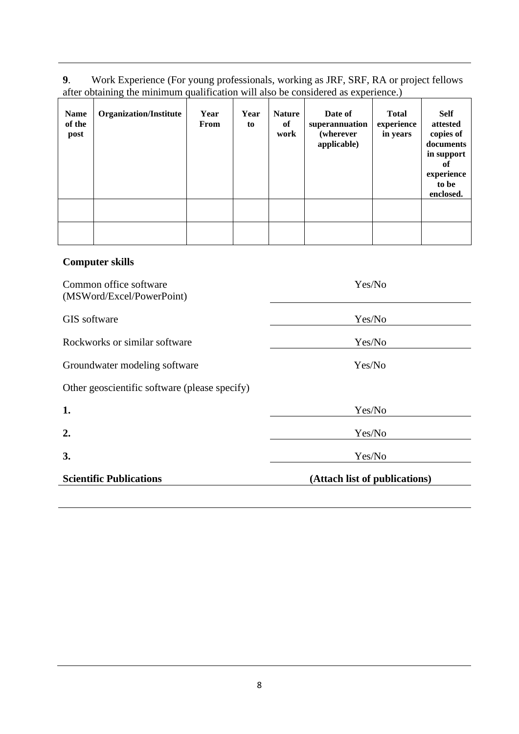**9**. Work Experience (For young professionals, working as JRF, SRF, RA or project fellows after obtaining the minimum qualification will also be considered as experience.)

| Name<br>of the<br>post | <b>Organization/Institute</b> | Year<br>From | Year<br>to | <b>Nature</b><br>of<br>work | Date of<br>superannuation<br>(wherever<br>applicable) | <b>Total</b><br>experience<br>in years | <b>Self</b><br>attested<br>copies of<br>documents<br>in support<br>0ľ<br>experience<br>to be<br>enclosed. |
|------------------------|-------------------------------|--------------|------------|-----------------------------|-------------------------------------------------------|----------------------------------------|-----------------------------------------------------------------------------------------------------------|
|                        |                               |              |            |                             |                                                       |                                        |                                                                                                           |
|                        |                               |              |            |                             |                                                       |                                        |                                                                                                           |

# **Computer skills**

| Common office software<br>(MSWord/Excel/PowerPoint) | Yes/No                        |  |
|-----------------------------------------------------|-------------------------------|--|
| GIS software                                        | Yes/No                        |  |
| Rockworks or similar software                       | Yes/No                        |  |
| Groundwater modeling software                       | Yes/No                        |  |
| Other geoscientific software (please specify)       |                               |  |
| 1.                                                  | Yes/No                        |  |
| 2.                                                  | Yes/No                        |  |
| 3.                                                  | Yes/No                        |  |
| <b>Scientific Publications</b>                      | (Attach list of publications) |  |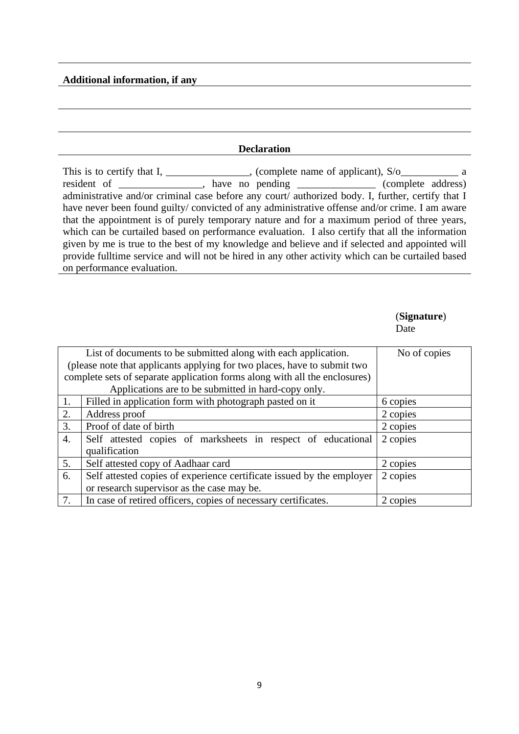#### **Additional information, if any**

#### **Declaration**

This is to certify that I, \_\_\_\_\_\_\_\_\_\_\_\_\_, (complete name of applicant),  $S/O$ \_\_\_\_\_\_\_\_\_\_\_\_ a resident of \_\_\_\_\_\_\_\_\_\_\_, have no pending \_\_\_\_\_\_\_\_\_\_\_\_\_\_\_\_\_ (complete address) administrative and/or criminal case before any court/ authorized body. I, further, certify that I have never been found guilty/ convicted of any administrative offense and/or crime. I am aware that the appointment is of purely temporary nature and for a maximum period of three years, which can be curtailed based on performance evaluation. I also certify that all the information given by me is true to the best of my knowledge and believe and if selected and appointed will provide fulltime service and will not be hired in any other activity which can be curtailed based on performance evaluation.

#### (**Signature**) Date

|                  | List of documents to be submitted along with each application.             | No of copies |
|------------------|----------------------------------------------------------------------------|--------------|
|                  | (please note that applicants applying for two places, have to submit two   |              |
|                  | complete sets of separate application forms along with all the enclosures) |              |
|                  | Applications are to be submitted in hard-copy only.                        |              |
| 1.               | Filled in application form with photograph pasted on it                    | 6 copies     |
| 2.               | Address proof                                                              | 2 copies     |
| $\overline{3}$ . | Proof of date of birth                                                     | 2 copies     |
| 4.               | Self attested copies of marksheets in respect of educational               | 2 copies     |
|                  | qualification                                                              |              |
| 5.               | Self attested copy of Aadhaar card                                         | 2 copies     |
| 6.               | Self attested copies of experience certificate issued by the employer      | 2 copies     |
|                  | or research supervisor as the case may be.                                 |              |
| 7.               | In case of retired officers, copies of necessary certificates.             | 2 copies     |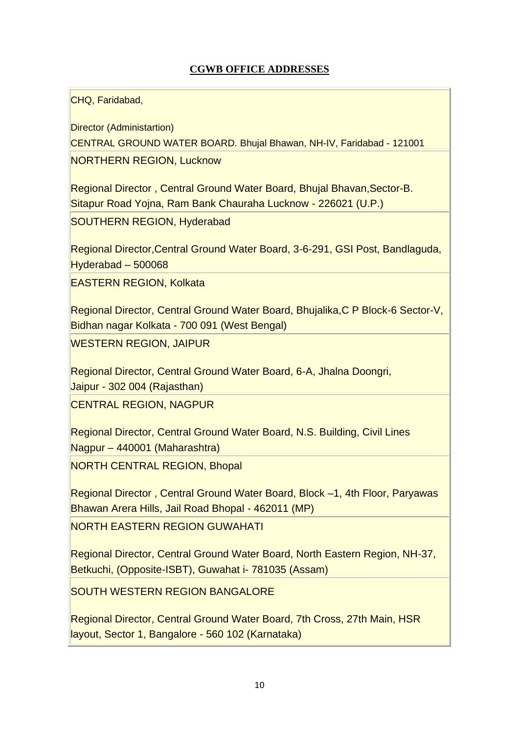## **CGWB OFFICE ADDRESSES**

CHQ, Faridabad,

Director (Administartion) CENTRAL GROUND WATER BOARD. Bhujal Bhawan, NH-IV, Faridabad - 121001 NORTHERN REGION, Lucknow

Regional Director , Central Ground Water Board, Bhujal Bhavan,Sector-B. Sitapur Road Yojna, Ram Bank Chauraha Lucknow - 226021 (U.P.)

SOUTHERN REGION, Hyderabad

Regional Director,Central Ground Water Board, 3-6-291, GSI Post, Bandlaguda, Hyderabad – 500068

EASTERN REGION, Kolkata

Regional Director, Central Ground Water Board, Bhujalika,C P Block-6 Sector-V, Bidhan nagar Kolkata - 700 091 (West Bengal) WESTERN REGION, JAIPUR

Regional Director, Central Ground Water Board, 6-A, Jhalna Doongri, Jaipur - 302 004 (Rajasthan)

CENTRAL REGION, NAGPUR

Regional Director, Central Ground Water Board, N.S. Building, Civil Lines Nagpur – 440001 (Maharashtra)

NORTH CENTRAL REGION, Bhopal

Regional Director , Central Ground Water Board, Block –1, 4th Floor, Paryawas Bhawan Arera Hills, Jail Road Bhopal - 462011 (MP) NORTH EASTERN REGION GUWAHATI

Regional Director, Central Ground Water Board, North Eastern Region, NH-37, Betkuchi, (Opposite-ISBT), Guwahat i- 781035 (Assam)

SOUTH WESTERN REGION BANGALORE

Regional Director, Central Ground Water Board, 7th Cross, 27th Main, HSR layout, Sector 1, Bangalore - 560 102 (Karnataka)